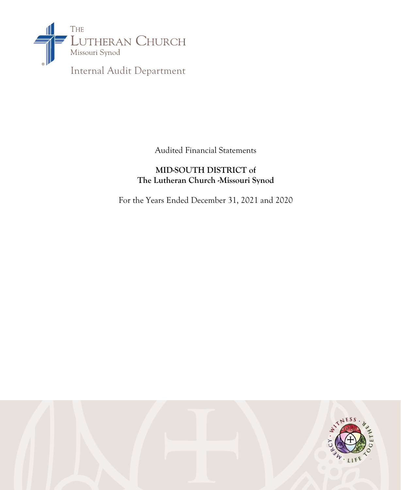

Audited Financial Statements

# **MID-SOUTH DISTRICT of The Lutheran Church -Missouri Synod**

For the Years Ended December 31, 2021 and 2020

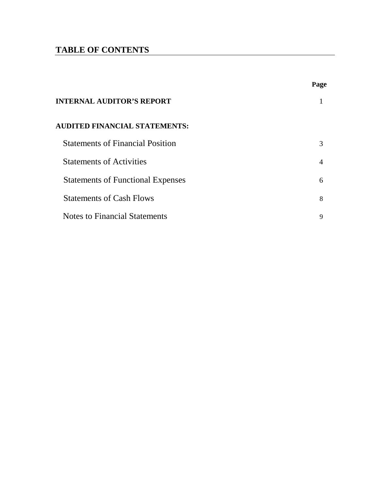# **TABLE OF CONTENTS**

|                                          | Page           |
|------------------------------------------|----------------|
| <b>INTERNAL AUDITOR'S REPORT</b>         |                |
| <b>AUDITED FINANCIAL STATEMENTS:</b>     |                |
| <b>Statements of Financial Position</b>  | $\mathcal{R}$  |
| <b>Statements of Activities</b>          | $\overline{4}$ |
| <b>Statements of Functional Expenses</b> | 6              |
| <b>Statements of Cash Flows</b>          | 8              |
| <b>Notes to Financial Statements</b>     | 9              |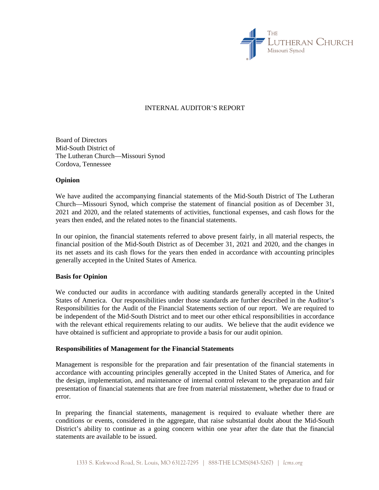

#### INTERNAL AUDITOR'S REPORT

Board of Directors Mid-South District of The Lutheran Church—Missouri Synod Cordova, Tennessee

#### **Opinion**

We have audited the accompanying financial statements of the Mid-South District of The Lutheran Church—Missouri Synod, which comprise the statement of financial position as of December 31, 2021 and 2020, and the related statements of activities, functional expenses, and cash flows for the years then ended, and the related notes to the financial statements.

In our opinion, the financial statements referred to above present fairly, in all material respects, the financial position of the Mid-South District as of December 31, 2021 and 2020, and the changes in its net assets and its cash flows for the years then ended in accordance with accounting principles generally accepted in the United States of America.

#### **Basis for Opinion**

We conducted our audits in accordance with auditing standards generally accepted in the United States of America. Our responsibilities under those standards are further described in the Auditor's Responsibilities for the Audit of the Financial Statements section of our report. We are required to be independent of the Mid-South District and to meet our other ethical responsibilities in accordance with the relevant ethical requirements relating to our audits. We believe that the audit evidence we have obtained is sufficient and appropriate to provide a basis for our audit opinion.

#### **Responsibilities of Management for the Financial Statements**

Management is responsible for the preparation and fair presentation of the financial statements in accordance with accounting principles generally accepted in the United States of America, and for the design, implementation, and maintenance of internal control relevant to the preparation and fair presentation of financial statements that are free from material misstatement, whether due to fraud or error.

In preparing the financial statements, management is required to evaluate whether there are conditions or events, considered in the aggregate, that raise substantial doubt about the Mid-South District's ability to continue as a going concern within one year after the date that the financial statements are available to be issued.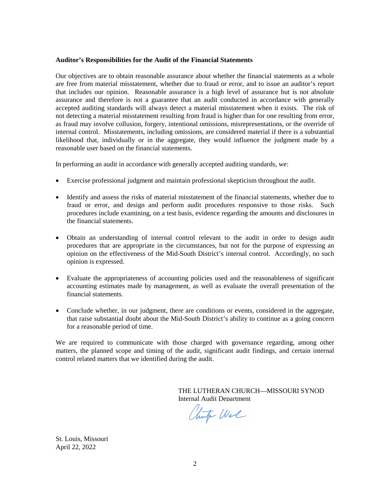#### **Auditor's Responsibilities for the Audit of the Financial Statements**

Our objectives are to obtain reasonable assurance about whether the financial statements as a whole are free from material misstatement, whether due to fraud or error, and to issue an auditor's report that includes our opinion. Reasonable assurance is a high level of assurance but is not absolute assurance and therefore is not a guarantee that an audit conducted in accordance with generally accepted auditing standards will always detect a material misstatement when it exists. The risk of not detecting a material misstatement resulting from fraud is higher than for one resulting from error, as fraud may involve collusion, forgery, intentional omissions, misrepresentations, or the override of internal control. Misstatements, including omissions, are considered material if there is a substantial likelihood that, individually or in the aggregate, they would influence the judgment made by a reasonable user based on the financial statements.

In performing an audit in accordance with generally accepted auditing standards, we:

- Exercise professional judgment and maintain professional skepticism throughout the audit.
- Identify and assess the risks of material misstatement of the financial statements, whether due to fraud or error, and design and perform audit procedures responsive to those risks. Such procedures include examining, on a test basis, evidence regarding the amounts and disclosures in the financial statements.
- Obtain an understanding of internal control relevant to the audit in order to design audit procedures that are appropriate in the circumstances, but not for the purpose of expressing an opinion on the effectiveness of the Mid-South District's internal control. Accordingly, no such opinion is expressed.
- Evaluate the appropriateness of accounting policies used and the reasonableness of significant accounting estimates made by management, as well as evaluate the overall presentation of the financial statements.
- Conclude whether, in our judgment, there are conditions or events, considered in the aggregate, that raise substantial doubt about the Mid-South District's ability to continue as a going concern for a reasonable period of time.

We are required to communicate with those charged with governance regarding, among other matters, the planned scope and timing of the audit, significant audit findings, and certain internal control related matters that we identified during the audit.

> THE LUTHERAN CHURCH—MISSOURI SYNOD Internal Audit Department

Chut Wel

St. Louis, Missouri April 22, 2022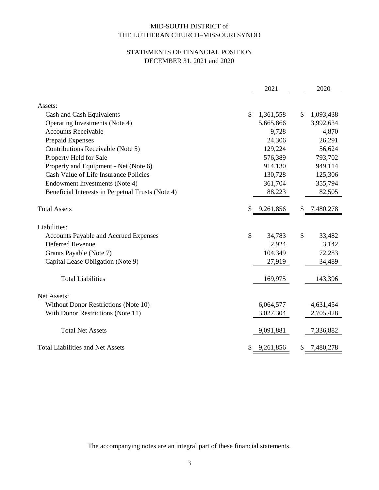## STATEMENTS OF FINANCIAL POSITION DECEMBER 31, 2021 and 2020

|                                                   |    | 2021      |     | 2020      |
|---------------------------------------------------|----|-----------|-----|-----------|
|                                                   |    |           |     |           |
| Assets:                                           |    |           |     |           |
| Cash and Cash Equivalents                         | \$ | 1,361,558 | \$  | 1,093,438 |
| Operating Investments (Note 4)                    |    | 5,665,866 |     | 3,992,634 |
| <b>Accounts Receivable</b>                        |    | 9,728     |     | 4,870     |
| Prepaid Expenses                                  |    | 24,306    |     | 26,291    |
| Contributions Receivable (Note 5)                 |    | 129,224   |     | 56,624    |
| Property Held for Sale                            |    | 576,389   |     | 793,702   |
| Property and Equipment - Net (Note 6)             |    | 914,130   |     | 949,114   |
| Cash Value of Life Insurance Policies             |    | 130,728   |     | 125,306   |
| Endowment Investments (Note 4)                    |    | 361,704   |     | 355,794   |
| Beneficial Interests in Perpetual Trusts (Note 4) |    | 88,223    |     | 82,505    |
| <b>Total Assets</b>                               | \$ | 9,261,856 | \$. | 7,480,278 |
| Liabilities:                                      |    |           |     |           |
| <b>Accounts Payable and Accrued Expenses</b>      | \$ | 34,783    | \$  | 33,482    |
| <b>Deferred Revenue</b>                           |    | 2,924     |     | 3,142     |
| Grants Payable (Note 7)                           |    | 104,349   |     | 72,283    |
| Capital Lease Obligation (Note 9)                 |    | 27,919    |     | 34,489    |
| <b>Total Liabilities</b>                          |    | 169,975   |     | 143,396   |
| Net Assets:                                       |    |           |     |           |
| Without Donor Restrictions (Note 10)              |    | 6,064,577 |     | 4,631,454 |
| With Donor Restrictions (Note 11)                 |    | 3,027,304 |     | 2,705,428 |
| <b>Total Net Assets</b>                           |    | 9,091,881 |     | 7,336,882 |
| <b>Total Liabilities and Net Assets</b>           | S  | 9,261,856 | \$  | 7,480,278 |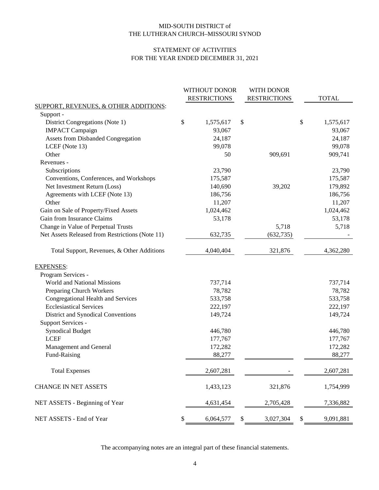#### STATEMENT OF ACTIVITIES FOR THE YEAR ENDED DECEMBER 31, 2021

|                                                  | WITHOUT DONOR<br><b>RESTRICTIONS</b> | WITH DONOR<br><b>RESTRICTIONS</b> | <b>TOTAL</b>    |
|--------------------------------------------------|--------------------------------------|-----------------------------------|-----------------|
| <b>SUPPORT, REVENUES, &amp; OTHER ADDITIONS:</b> |                                      |                                   |                 |
| Support -                                        |                                      |                                   |                 |
| District Congregations (Note 1)                  | \$<br>1,575,617                      | \$                                | \$<br>1,575,617 |
| <b>IMPACT</b> Campaign                           | 93,067                               |                                   | 93,067          |
| <b>Assets from Disbanded Congregation</b>        | 24,187                               |                                   | 24,187          |
| LCEF (Note 13)                                   | 99,078                               |                                   | 99,078          |
| Other                                            | 50                                   | 909,691                           | 909,741         |
| Revenues -                                       |                                      |                                   |                 |
| Subscriptions                                    | 23,790                               |                                   | 23,790          |
| Conventions, Conferences, and Workshops          | 175,587                              |                                   | 175,587         |
| Net Investment Return (Loss)                     | 140,690                              | 39,202                            | 179,892         |
| Agreements with LCEF (Note 13)                   | 186,756                              |                                   | 186,756         |
| Other                                            | 11,207                               |                                   | 11,207          |
| Gain on Sale of Property/Fixed Assets            | 1,024,462                            |                                   | 1,024,462       |
| Gain from Insurance Claims                       | 53,178                               |                                   | 53,178          |
| Change in Value of Perpetual Trusts              |                                      | 5,718                             | 5,718           |
| Net Assets Released from Restrictions (Note 11)  | 632,735                              | (632, 735)                        |                 |
| Total Support, Revenues, & Other Additions       | 4,040,404                            | 321,876                           | 4,362,280       |
| <b>EXPENSES:</b>                                 |                                      |                                   |                 |
| Program Services -                               |                                      |                                   |                 |
| World and National Missions                      | 737,714                              |                                   | 737,714         |
| Preparing Church Workers                         | 78,782                               |                                   | 78,782          |
| Congregational Health and Services               | 533,758                              |                                   | 533,758         |
| <b>Ecclesiastical Services</b>                   | 222,197                              |                                   | 222,197         |
| District and Synodical Conventions               | 149,724                              |                                   | 149,724         |
| Support Services -                               |                                      |                                   |                 |
| <b>Synodical Budget</b>                          | 446,780                              |                                   | 446,780         |
| <b>LCEF</b>                                      | 177,767                              |                                   | 177,767         |
| Management and General                           | 172,282                              |                                   | 172,282         |
| Fund-Raising                                     | 88,277                               |                                   | 88,277          |
| <b>Total Expenses</b>                            | 2,607,281                            |                                   | 2,607,281       |
| <b>CHANGE IN NET ASSETS</b>                      | 1,433,123                            | 321,876                           | 1,754,999       |
| NET ASSETS - Beginning of Year                   | 4,631,454                            | 2,705,428                         | 7,336,882       |
| NET ASSETS - End of Year                         | \$<br>6,064,577                      | \$<br>3,027,304                   | \$<br>9,091,881 |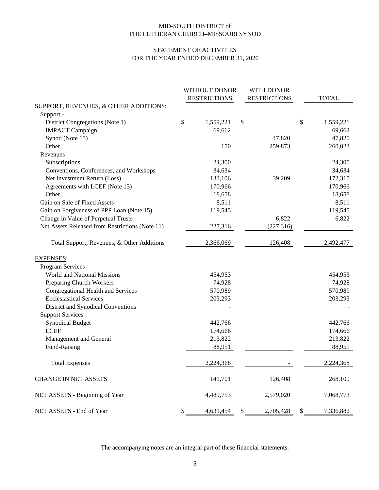#### STATEMENT OF ACTIVITIES FOR THE YEAR ENDED DECEMBER 31, 2020

|                                                  | WITHOUT DONOR<br><b>RESTRICTIONS</b> | WITH DONOR<br><b>RESTRICTIONS</b> | <b>TOTAL</b>    |
|--------------------------------------------------|--------------------------------------|-----------------------------------|-----------------|
| <b>SUPPORT, REVENUES, &amp; OTHER ADDITIONS:</b> |                                      |                                   |                 |
| Support -                                        |                                      |                                   |                 |
| District Congregations (Note 1)                  | \$<br>1,559,221                      | \$                                | \$<br>1,559,221 |
| <b>IMPACT</b> Campaign                           | 69,662                               |                                   | 69,662          |
| Synod (Note 15)                                  |                                      | 47,820                            | 47,820          |
| Other                                            | 150                                  | 259,873                           | 260,023         |
| Revenues -                                       |                                      |                                   |                 |
| Subscriptions                                    | 24,300                               |                                   | 24,300          |
| Conventions, Conferences, and Workshops          | 34,634                               |                                   | 34,634          |
| Net Investment Return (Loss)                     | 133,106                              | 39,209                            | 172,315         |
| Agreements with LCEF (Note 13)                   | 170,966                              |                                   | 170,966         |
| Other                                            | 18,658                               |                                   | 18,658          |
| Gain on Sale of Fixed Assets                     | 8,511                                |                                   | 8,511           |
| Gain on Forgiveness of PPP Loan (Note 15)        | 119,545                              |                                   | 119,545         |
| Change in Value of Perpetual Trusts              |                                      | 6,822                             | 6,822           |
| Net Assets Released from Restrictions (Note 11)  | 227,316                              | (227, 316)                        |                 |
| Total Support, Revenues, & Other Additions       | 2,366,069                            | 126,408                           | 2,492,477       |
| <b>EXPENSES:</b>                                 |                                      |                                   |                 |
| Program Services -                               |                                      |                                   |                 |
| World and National Missions                      | 454,953                              |                                   | 454,953         |
| Preparing Church Workers                         | 74,928                               |                                   | 74,928          |
| Congregational Health and Services               | 570,989                              |                                   | 570,989         |
| <b>Ecclesiastical Services</b>                   | 203,293                              |                                   | 203,293         |
| District and Synodical Conventions               |                                      |                                   |                 |
| Support Services -                               |                                      |                                   |                 |
| <b>Synodical Budget</b>                          | 442,766                              |                                   | 442,766         |
| <b>LCEF</b>                                      | 174,666                              |                                   | 174,666         |
| Management and General                           | 213,822                              |                                   | 213,822         |
| Fund-Raising                                     | 88,951                               |                                   | 88,951          |
| <b>Total Expenses</b>                            | 2,224,368                            |                                   | 2,224,368       |
| <b>CHANGE IN NET ASSETS</b>                      | 141,701                              | 126,408                           | 268,109         |
| NET ASSETS - Beginning of Year                   | 4,489,753                            | 2,579,020                         | 7,068,773       |
| NET ASSETS - End of Year                         | \$<br>4,631,454                      | \$<br>2,705,428                   | \$<br>7,336,882 |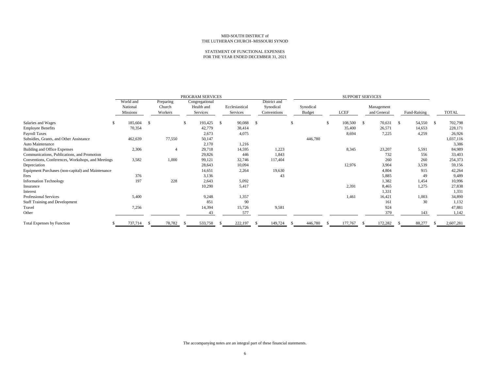#### STATEMENT OF FUNCTIONAL EXPENSES FOR THE YEAR ENDED DECEMBER 31, 2021

|                                                   |           | PROGRAM SERVICES |                |                          |    |                |               |              |    | <b>SUPPORT SERVICES</b> |    |             |    |             |    |              |    |           |
|---------------------------------------------------|-----------|------------------|----------------|--------------------------|----|----------------|---------------|--------------|----|-------------------------|----|-------------|----|-------------|----|--------------|----|-----------|
|                                                   | World and | Preparing        |                | Congregational           |    |                |               | District and |    |                         |    |             |    |             |    |              |    |           |
|                                                   | National  | Church           |                | Health and               |    | Ecclesiastical |               | Synodical    |    | Synodical               |    |             |    | Management  |    |              |    |           |
|                                                   | Missions  | Workers          |                | Services                 |    | Services       |               | Conventions  |    | <b>Budget</b>           |    | <b>LCEF</b> |    | and General |    | Fund-Raising |    | TOTAL     |
| Salaries and Wages<br>-S                          | 185,604   | -S               |                | 193,425<br><sup>\$</sup> | -S | 90,088         | <sup>\$</sup> |              | £. |                         | -S | 108,500     | -S | 70,631      | -S | 54,550       | -S | 702,798   |
| <b>Employee Benefits</b>                          | 70,354    |                  |                | 42,779                   |    | 38,414         |               |              |    |                         |    | 35,400      |    | 26,571      |    | 14,653       |    | 228,171   |
| Payroll Taxes                                     |           |                  |                | 2,673                    |    | 4,075          |               |              |    |                         |    | 8,694       |    | 7,225       |    | 4,259        |    | 26,926    |
| Subsidies, Grants, and Other Assistance           | 462,639   | 77,550           |                | 50,147                   |    |                |               |              |    | 446,780                 |    |             |    |             |    |              |    | 1,037,116 |
| Auto Maintenance                                  |           |                  |                | 2,170                    |    | 1,216          |               |              |    |                         |    |             |    |             |    |              |    | 3,386     |
| <b>Building and Office Expenses</b>               | 2,306     |                  | $\overline{4}$ | 29,718                   |    | 14,595         |               | 1,223        |    |                         |    | 8,345       |    | 23,207      |    | 5,591        |    | 84,989    |
| Communications, Publications, and Promotion       |           |                  |                | 29,826                   |    | 446            |               | 1,843        |    |                         |    |             |    | 732         |    | 556          |    | 33,403    |
| Conventions, Conferences, Workshops, and Meetings | 3,582     | 1,000            |                | 99,121                   |    | 32,746         |               | 117,404      |    |                         |    |             |    | 260         |    | 260          |    | 254,373   |
| Depreciation                                      |           |                  |                | 28,643                   |    | 10,094         |               |              |    |                         |    | 12,976      |    | 3,904       |    | 3,539        |    | 59,156    |
| Equipment Purchases (non-capital) and Maintenance |           |                  |                | 14,651                   |    | 2,264          |               | 19,630       |    |                         |    |             |    | 4,804       |    | 915          |    | 42,264    |
| Fees                                              | 376       |                  |                | 3,136                    |    |                |               | 43           |    |                         |    |             |    | 5,885       |    | 49           |    | 9,489     |
| <b>Information Technology</b>                     | 197       |                  | 228            | 2,643                    |    | 5,092          |               |              |    |                         |    |             |    | 1,382       |    | 1,454        |    | 10,996    |
| Insurance                                         |           |                  |                | 10,290                   |    | 5,417          |               |              |    |                         |    | 2,391       |    | 8,465       |    | 1,275        |    | 27,838    |
| Interest                                          |           |                  |                |                          |    |                |               |              |    |                         |    |             |    | 1,331       |    |              |    | 1,331     |
| Professional Services                             | 5,400     |                  |                | 9,248                    |    | 1,357          |               |              |    |                         |    | 1,461       |    | 16,421      |    | 1,003        |    | 34,890    |
| <b>Staff Training and Development</b>             |           |                  |                | 851                      |    | 90             |               |              |    |                         |    |             |    | 161         |    | 30           |    | 1,132     |
| Travel                                            | 7,256     |                  |                | 14,394                   |    | 15,726         |               | 9,581        |    |                         |    |             |    | 924         |    |              |    | 47,881    |
| Other                                             |           |                  |                | 43                       |    | 577            |               |              |    |                         |    |             |    | 379         |    | 143          |    | 1,142     |
| <b>Total Expenses by Function</b>                 | 737,714   | 78,782<br>-8     | -8             | 533,758                  | -8 | 222,197        |               | 149,724      |    | 446,780                 |    | 177,767     |    | 172,282     |    | 88,277       |    | 2,607,281 |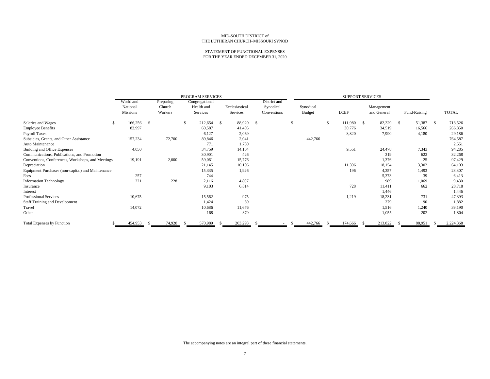#### STATEMENT OF FUNCTIONAL EXPENSES FOR THE YEAR ENDED DECEMBER 31, 2020

|                                                   |              |           | PROGRAM SERVICES |                |              |               |               |              |              |               |
|---------------------------------------------------|--------------|-----------|------------------|----------------|--------------|---------------|---------------|--------------|--------------|---------------|
|                                                   | World and    | Preparing | Congregational   |                | District and |               |               |              |              |               |
|                                                   | National     | Church    | Health and       | Ecclesiastical | Synodical    | Synodical     |               | Management   |              |               |
|                                                   | Missions     | Workers   | Services         | Services       | Conventions  | Budget        | <b>LCEF</b>   | and General  | Fund-Raising | <b>TOTAL</b>  |
| Salaries and Wages                                | 166,256<br>S | -8        | 212,654<br>\$    | 88,920<br>S.   | -S           | <sup>\$</sup> | 111,980<br>\$ | 82,329<br>-S | 51,387<br>-S | 713,526<br>-S |
| <b>Employee Benefits</b>                          | 82,997       |           | 60,587           | 41,405         |              |               | 30,776        | 34,519       | 16,566       | 266,850       |
| Payroll Taxes                                     |              |           | 6,127            | 2,069          |              |               | 8,820         | 7,990        | 4,180        | 29,186        |
| Subsidies, Grants, and Other Assistance           | 157,234      | 72,700    | 89,846           | 2,041          |              | 442,766       |               |              |              | 764,587       |
| Auto Maintenance                                  |              |           | 771              | 1,780          |              |               |               |              |              | 2,551         |
| Building and Office Expenses                      | 4,050        |           | 34,759           | 14,104         |              |               | 9,551         | 24,478       | 7,343        | 94,285        |
| Communications, Publications, and Promotion       |              |           | 30,901           | 426            |              |               |               | 319          | 622          | 32,268        |
| Conventions, Conferences, Workshops, and Meetings | 19,191       | 2,000     | 59,061           | 15,776         |              |               |               | 1,376        | 25           | 97,429        |
| Depreciation                                      |              |           | 21,145           | 10,106         |              |               | 11,396        | 18,154       | 3,302        | 64,103        |
| Equipment Purchases (non-capital) and Maintenance |              |           | 15,335           | 1,926          |              |               | 196           | 4,357        | 1,493        | 23,307        |
| Fees                                              | 257          |           | 744              |                |              |               |               | 5,373        | 39           | 6,413         |
| <b>Information Technology</b>                     | 221          | 228       | 2,116            | 4,807          |              |               |               | 989          | 1,069        | 9,430         |
| Insurance                                         |              |           | 9,103            | 6,814          |              |               | 728           | 11,411       | 662          | 28,718        |
| Interest                                          |              |           |                  |                |              |               |               | 1,446        |              | 1,446         |
| <b>Professional Services</b>                      | 10,675       |           | 15,562           | 975            |              |               | 1,219         | 18,231       | 731          | 47,393        |
| <b>Staff Training and Development</b>             |              |           | 1,424            | 89             |              |               |               | 279          | 90           | 1,882         |
| Travel                                            | 14,072       |           | 10,686           | 11,676         |              |               |               | 1,516        | 1,240        | 39,190        |
| Other                                             |              |           | 168              | 379            |              |               |               | 1,055        | 202          | 1,804         |
| <b>Total Expenses by Function</b>                 | 454,953      | 74,928    | 570,989          | 203,293        |              | 442,766       | 174,666       | 213,822      | 88,951       | 2,224,368     |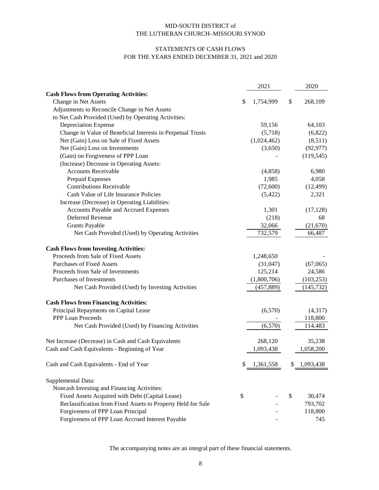### STATEMENTS OF CASH FLOWS FOR THE YEARS ENDED DECEMBER 31, 2021 and 2020

|                                                              | 2021            | 2020          |
|--------------------------------------------------------------|-----------------|---------------|
| <b>Cash Flows from Operating Activities:</b>                 |                 |               |
| Change in Net Assets                                         | \$<br>1,754,999 | \$<br>268,109 |
| Adjustments to Reconcile Change in Net Assets                |                 |               |
| to Net Cash Provided (Used) by Operating Activities:         |                 |               |
| Depreciation Expense                                         | 59,156          | 64,103        |
| Change in Value of Beneficial Interests in Perpetual Trusts  | (5,718)         | (6,822)       |
| Net (Gain) Loss on Sale of Fixed Assets                      | (1,024,462)     | (8,511)       |
| Net (Gain) Loss on Investments                               | (3,650)         | (92, 977)     |
| (Gain) on Forgiveness of PPP Loan                            |                 | (119, 545)    |
| (Increase) Decrease in Operating Assets:                     |                 |               |
| <b>Accounts Receivable</b>                                   | (4,858)         | 6,980         |
| Prepaid Expenses                                             | 1,985           | 4,058         |
| <b>Contributions Receivable</b>                              | (72,600)        | (12, 499)     |
| Cash Value of Life Insurance Policies                        | (5,422)         | 2,321         |
| Increase (Decrease) in Operating Liabilities:                |                 |               |
| Accounts Payable and Accrued Expenses                        | 1,301           | (17, 128)     |
| Deferred Revenue                                             | (218)           | 68            |
| <b>Grants Payable</b>                                        | 32,066          | (21,670)      |
| Net Cash Provided (Used) by Operating Activities             | 732,579         | 66,487        |
| <b>Cash Flows from Investing Activities:</b>                 |                 |               |
| Proceeds from Sale of Fixed Assets                           | 1,248,650       |               |
| <b>Purchases of Fixed Assets</b>                             | (31,047)        | (67,065)      |
| Proceeds from Sale of Investments                            | 125,214         | 24,586        |
| Purchases of Investments                                     | (1,800,706)     | (103, 253)    |
| Net Cash Provided (Used) by Investing Activities             | (457, 889)      | (145, 732)    |
| <b>Cash Flows from Financing Activities:</b>                 |                 |               |
| Principal Repayments on Capital Lease                        | (6,570)         | (4,317)       |
| <b>PPP Loan Proceeds</b>                                     |                 | 118,800       |
| Net Cash Provided (Used) by Financing Activities             | (6,570)         | 114,483       |
|                                                              |                 |               |
| Net Increase (Decrease) in Cash and Cash Equivalents         | 268,120         | 35,238        |
| Cash and Cash Equivalents - Beginning of Year                | 1,093,438       | 1,058,200     |
| Cash and Cash Equivalents - End of Year                      | \$<br>1,361,558 | 1,093,438     |
| Supplemental Data:                                           |                 |               |
| Noncash Investing and Financing Activities:                  |                 |               |
| Fixed Assets Acquired with Debt (Capital Lease)              | \$              | \$<br>30,474  |
| Reclassification from Fixed Assets to Property Held for Sale |                 | 793,702       |
| Forgiveness of PPP Loan Principal                            |                 | 118,800       |
| Forgiveness of PPP Loan Accrued Interest Payable             |                 | 745           |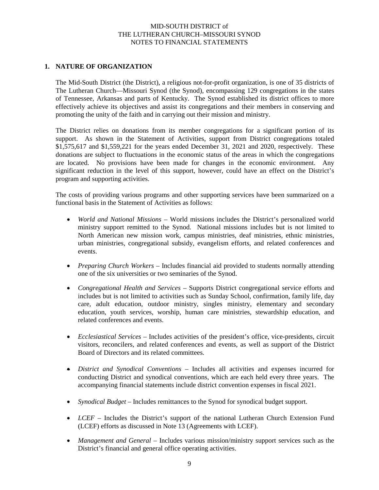### **1. NATURE OF ORGANIZATION**

The Mid-South District (the District), a religious not-for-profit organization, is one of 35 districts of The Lutheran Church—Missouri Synod (the Synod), encompassing 129 congregations in the states of Tennessee, Arkansas and parts of Kentucky. The Synod established its district offices to more effectively achieve its objectives and assist its congregations and their members in conserving and promoting the unity of the faith and in carrying out their mission and ministry.

The District relies on donations from its member congregations for a significant portion of its support. As shown in the Statement of Activities, support from District congregations totaled \$1,575,617 and \$1,559,221 for the years ended December 31, 2021 and 2020, respectively. These donations are subject to fluctuations in the economic status of the areas in which the congregations are located. No provisions have been made for changes in the economic environment. Any significant reduction in the level of this support, however, could have an effect on the District's program and supporting activities.

The costs of providing various programs and other supporting services have been summarized on a functional basis in the Statement of Activities as follows:

- *World and National Missions* World missions includes the District's personalized world ministry support remitted to the Synod. National missions includes but is not limited to North American new mission work, campus ministries, deaf ministries, ethnic ministries, urban ministries, congregational subsidy, evangelism efforts, and related conferences and events.
- *Preparing Church Workers* Includes financial aid provided to students normally attending one of the six universities or two seminaries of the Synod.
- *Congregational Health and Services* Supports District congregational service efforts and includes but is not limited to activities such as Sunday School, confirmation, family life, day care, adult education, outdoor ministry, singles ministry, elementary and secondary education, youth services, worship, human care ministries, stewardship education, and related conferences and events.
- *Ecclesiastical Services*  Includes activities of the president's office, vice-presidents, circuit visitors, reconcilers, and related conferences and events, as well as support of the District Board of Directors and its related committees.
- *District and Synodical Conventions* Includes all activities and expenses incurred for conducting District and synodical conventions, which are each held every three years. The accompanying financial statements include district convention expenses in fiscal 2021.
- *Synodical Budget* Includes remittances to the Synod for synodical budget support.
- *LCEF* Includes the District's support of the national Lutheran Church Extension Fund (LCEF) efforts as discussed in Note 13 (Agreements with LCEF).
- *Management and General* Includes various mission/ministry support services such as the District's financial and general office operating activities.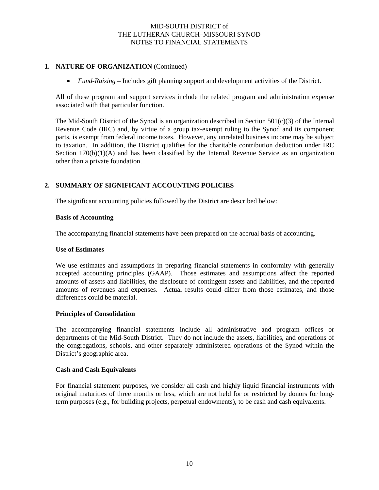### **1. NATURE OF ORGANIZATION** (Continued)

• *Fund-Raising –* Includes gift planning support and development activities of the District.

All of these program and support services include the related program and administration expense associated with that particular function.

The Mid-South District of the Synod is an organization described in Section  $501(c)(3)$  of the Internal Revenue Code (IRC) and, by virtue of a group tax-exempt ruling to the Synod and its component parts, is exempt from federal income taxes. However, any unrelated business income may be subject to taxation. In addition, the District qualifies for the charitable contribution deduction under IRC Section 170(b)(1)(A) and has been classified by the Internal Revenue Service as an organization other than a private foundation.

### **2. SUMMARY OF SIGNIFICANT ACCOUNTING POLICIES**

The significant accounting policies followed by the District are described below:

#### **Basis of Accounting**

The accompanying financial statements have been prepared on the accrual basis of accounting.

#### **Use of Estimates**

We use estimates and assumptions in preparing financial statements in conformity with generally accepted accounting principles (GAAP). Those estimates and assumptions affect the reported amounts of assets and liabilities, the disclosure of contingent assets and liabilities, and the reported amounts of revenues and expenses. Actual results could differ from those estimates, and those differences could be material.

#### **Principles of Consolidation**

The accompanying financial statements include all administrative and program offices or departments of the Mid-South District. They do not include the assets, liabilities, and operations of the congregations, schools, and other separately administered operations of the Synod within the District's geographic area.

#### **Cash and Cash Equivalents**

For financial statement purposes, we consider all cash and highly liquid financial instruments with original maturities of three months or less, which are not held for or restricted by donors for longterm purposes (e.g., for building projects, perpetual endowments), to be cash and cash equivalents.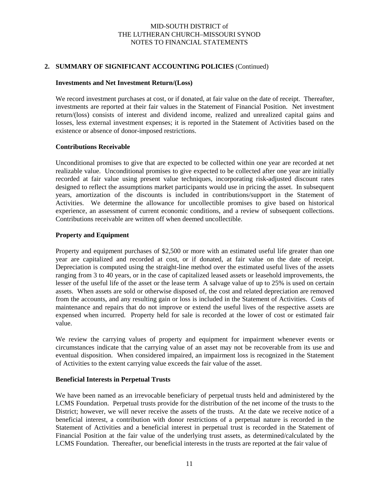#### **2. SUMMARY OF SIGNIFICANT ACCOUNTING POLICIES** (Continued)

#### **Investments and Net Investment Return/(Loss)**

We record investment purchases at cost, or if donated, at fair value on the date of receipt. Thereafter, investments are reported at their fair values in the Statement of Financial Position. Net investment return/(loss) consists of interest and dividend income, realized and unrealized capital gains and losses, less external investment expenses; it is reported in the Statement of Activities based on the existence or absence of donor-imposed restrictions.

#### **Contributions Receivable**

Unconditional promises to give that are expected to be collected within one year are recorded at net realizable value. Unconditional promises to give expected to be collected after one year are initially recorded at fair value using present value techniques, incorporating risk-adjusted discount rates designed to reflect the assumptions market participants would use in pricing the asset. In subsequent years, amortization of the discounts is included in contributions/support in the Statement of Activities. We determine the allowance for uncollectible promises to give based on historical experience, an assessment of current economic conditions, and a review of subsequent collections. Contributions receivable are written off when deemed uncollectible.

#### **Property and Equipment**

Property and equipment purchases of \$2,500 or more with an estimated useful life greater than one year are capitalized and recorded at cost, or if donated, at fair value on the date of receipt. Depreciation is computed using the straight-line method over the estimated useful lives of the assets ranging from 3 to 40 years, or in the case of capitalized leased assets or leasehold improvements, the lesser of the useful life of the asset or the lease term A salvage value of up to 25% is used on certain assets. When assets are sold or otherwise disposed of, the cost and related depreciation are removed from the accounts, and any resulting gain or loss is included in the Statement of Activities. Costs of maintenance and repairs that do not improve or extend the useful lives of the respective assets are expensed when incurred. Property held for sale is recorded at the lower of cost or estimated fair value.

We review the carrying values of property and equipment for impairment whenever events or circumstances indicate that the carrying value of an asset may not be recoverable from its use and eventual disposition. When considered impaired, an impairment loss is recognized in the Statement of Activities to the extent carrying value exceeds the fair value of the asset.

#### **Beneficial Interests in Perpetual Trusts**

We have been named as an irrevocable beneficiary of perpetual trusts held and administered by the LCMS Foundation. Perpetual trusts provide for the distribution of the net income of the trusts to the District; however, we will never receive the assets of the trusts. At the date we receive notice of a beneficial interest, a contribution with donor restrictions of a perpetual nature is recorded in the Statement of Activities and a beneficial interest in perpetual trust is recorded in the Statement of Financial Position at the fair value of the underlying trust assets, as determined/calculated by the LCMS Foundation. Thereafter, our beneficial interests in the trusts are reported at the fair value of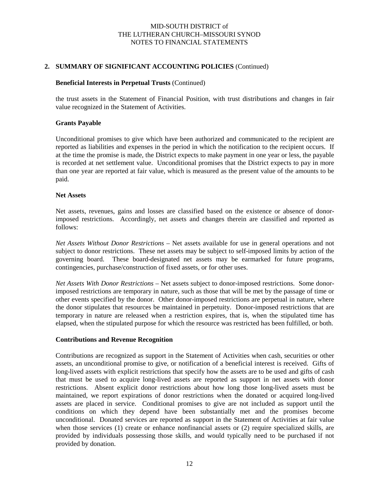#### **2. SUMMARY OF SIGNIFICANT ACCOUNTING POLICIES** (Continued)

#### **Beneficial Interests in Perpetual Trusts** (Continued)

the trust assets in the Statement of Financial Position, with trust distributions and changes in fair value recognized in the Statement of Activities.

#### **Grants Payable**

Unconditional promises to give which have been authorized and communicated to the recipient are reported as liabilities and expenses in the period in which the notification to the recipient occurs. If at the time the promise is made, the District expects to make payment in one year or less, the payable is recorded at net settlement value. Unconditional promises that the District expects to pay in more than one year are reported at fair value, which is measured as the present value of the amounts to be paid.

#### **Net Assets**

Net assets, revenues, gains and losses are classified based on the existence or absence of donorimposed restrictions. Accordingly, net assets and changes therein are classified and reported as follows:

*Net Assets Without Donor Restrictions* – Net assets available for use in general operations and not subject to donor restrictions. These net assets may be subject to self-imposed limits by action of the governing board. These board-designated net assets may be earmarked for future programs, contingencies, purchase/construction of fixed assets, or for other uses.

*Net Assets With Donor Restrictions* – Net assets subject to donor-imposed restrictions. Some donorimposed restrictions are temporary in nature, such as those that will be met by the passage of time or other events specified by the donor. Other donor-imposed restrictions are perpetual in nature, where the donor stipulates that resources be maintained in perpetuity. Donor-imposed restrictions that are temporary in nature are released when a restriction expires, that is, when the stipulated time has elapsed, when the stipulated purpose for which the resource was restricted has been fulfilled, or both.

#### **Contributions and Revenue Recognition**

Contributions are recognized as support in the Statement of Activities when cash, securities or other assets, an unconditional promise to give, or notification of a beneficial interest is received. Gifts of long-lived assets with explicit restrictions that specify how the assets are to be used and gifts of cash that must be used to acquire long-lived assets are reported as support in net assets with donor restrictions. Absent explicit donor restrictions about how long those long-lived assets must be maintained, we report expirations of donor restrictions when the donated or acquired long-lived assets are placed in service. Conditional promises to give are not included as support until the conditions on which they depend have been substantially met and the promises become unconditional. Donated services are reported as support in the Statement of Activities at fair value when those services (1) create or enhance nonfinancial assets or (2) require specialized skills, are provided by individuals possessing those skills, and would typically need to be purchased if not provided by donation.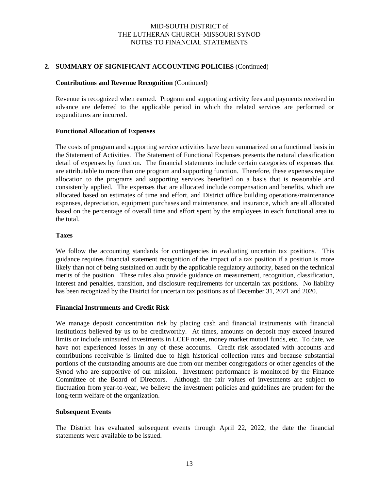#### **2. SUMMARY OF SIGNIFICANT ACCOUNTING POLICIES** (Continued)

#### **Contributions and Revenue Recognition** (Continued)

Revenue is recognized when earned. Program and supporting activity fees and payments received in advance are deferred to the applicable period in which the related services are performed or expenditures are incurred.

#### **Functional Allocation of Expenses**

The costs of program and supporting service activities have been summarized on a functional basis in the Statement of Activities. The Statement of Functional Expenses presents the natural classification detail of expenses by function. The financial statements include certain categories of expenses that are attributable to more than one program and supporting function. Therefore, these expenses require allocation to the programs and supporting services benefited on a basis that is reasonable and consistently applied. The expenses that are allocated include compensation and benefits, which are allocated based on estimates of time and effort, and District office building operations/maintenance expenses, depreciation, equipment purchases and maintenance, and insurance, which are all allocated based on the percentage of overall time and effort spent by the employees in each functional area to the total.

#### **Taxes**

We follow the accounting standards for contingencies in evaluating uncertain tax positions. This guidance requires financial statement recognition of the impact of a tax position if a position is more likely than not of being sustained on audit by the applicable regulatory authority, based on the technical merits of the position. These rules also provide guidance on measurement, recognition, classification, interest and penalties, transition, and disclosure requirements for uncertain tax positions. No liability has been recognized by the District for uncertain tax positions as of December 31, 2021 and 2020.

#### **Financial Instruments and Credit Risk**

We manage deposit concentration risk by placing cash and financial instruments with financial institutions believed by us to be creditworthy. At times, amounts on deposit may exceed insured limits or include uninsured investments in LCEF notes, money market mutual funds, etc. To date, we have not experienced losses in any of these accounts. Credit risk associated with accounts and contributions receivable is limited due to high historical collection rates and because substantial portions of the outstanding amounts are due from our member congregations or other agencies of the Synod who are supportive of our mission. Investment performance is monitored by the Finance Committee of the Board of Directors. Although the fair values of investments are subject to fluctuation from year-to-year, we believe the investment policies and guidelines are prudent for the long-term welfare of the organization.

#### **Subsequent Events**

The District has evaluated subsequent events through April 22, 2022, the date the financial statements were available to be issued.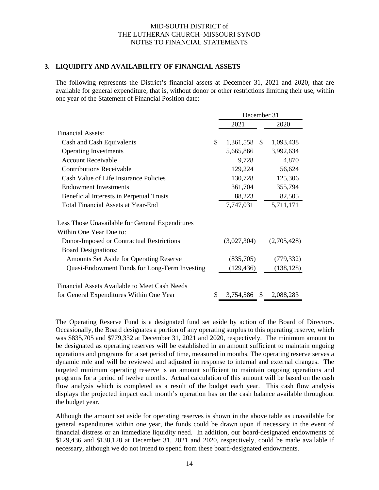#### **3. LIQUIDITY AND AVAILABILITY OF FINANCIAL ASSETS**

The following represents the District's financial assets at December 31, 2021 and 2020, that are available for general expenditure, that is, without donor or other restrictions limiting their use, within one year of the Statement of Financial Position date:

|                                                 | December 31        |     |             |
|-------------------------------------------------|--------------------|-----|-------------|
|                                                 | 2021               |     | 2020        |
| Financial Assets:                               |                    |     |             |
| Cash and Cash Equivalents                       | \$<br>1,361,558 \$ |     | 1,093,438   |
| <b>Operating Investments</b>                    | 5,665,866          |     | 3,992,634   |
| <b>Account Receivable</b>                       | 9,728              |     | 4,870       |
| <b>Contributions Receivable</b>                 | 129,224            |     | 56,624      |
| Cash Value of Life Insurance Policies           | 130,728            |     | 125,306     |
| <b>Endowment Investments</b>                    | 361,704            |     | 355,794     |
| Beneficial Interests in Perpetual Trusts        | 88,223             |     | 82,505      |
| Total Financial Assets at Year-End              | 7,747,031          |     | 5,711,171   |
| Less Those Unavailable for General Expenditures |                    |     |             |
| Within One Year Due to:                         |                    |     |             |
| Donor-Imposed or Contractual Restrictions       | (3,027,304)        |     | (2,705,428) |
| <b>Board Designations:</b>                      |                    |     |             |
| Amounts Set Aside for Operating Reserve         | (835,705)          |     | (779, 332)  |
| Quasi-Endowment Funds for Long-Term Investing   | (129, 436)         |     | (138, 128)  |
| Financial Assets Available to Meet Cash Needs   |                    |     |             |
| for General Expenditures Within One Year        | \$<br>3,754,586    | \$. | 2,088,283   |

The Operating Reserve Fund is a designated fund set aside by action of the Board of Directors. Occasionally, the Board designates a portion of any operating surplus to this operating reserve, which was \$835,705 and \$779,332 at December 31, 2021 and 2020, respectively. The minimum amount to be designated as operating reserves will be established in an amount sufficient to maintain ongoing operations and programs for a set period of time, measured in months. The operating reserve serves a dynamic role and will be reviewed and adjusted in response to internal and external changes. The targeted minimum operating reserve is an amount sufficient to maintain ongoing operations and programs for a period of twelve months. Actual calculation of this amount will be based on the cash flow analysis which is completed as a result of the budget each year. This cash flow analysis displays the projected impact each month's operation has on the cash balance available throughout the budget year.

Although the amount set aside for operating reserves is shown in the above table as unavailable for general expenditures within one year, the funds could be drawn upon if necessary in the event of financial distress or an immediate liquidity need. In addition, our board-designated endowments of \$129,436 and \$138,128 at December 31, 2021 and 2020, respectively, could be made available if necessary, although we do not intend to spend from these board-designated endowments.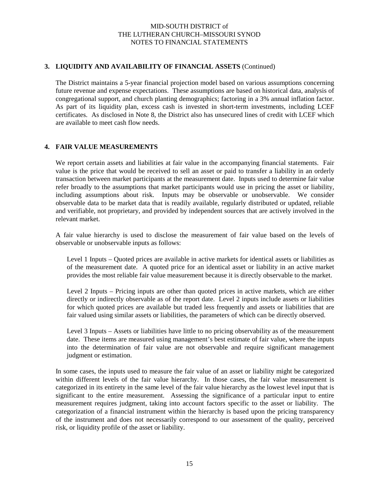#### **3. LIQUIDITY AND AVAILABILITY OF FINANCIAL ASSETS** (Continued)

The District maintains a 5-year financial projection model based on various assumptions concerning future revenue and expense expectations. These assumptions are based on historical data, analysis of congregational support, and church planting demographics; factoring in a 3% annual inflation factor. As part of its liquidity plan, excess cash is invested in short-term investments, including LCEF certificates. As disclosed in Note 8, the District also has unsecured lines of credit with LCEF which are available to meet cash flow needs.

#### **4. FAIR VALUE MEASUREMENTS**

We report certain assets and liabilities at fair value in the accompanying financial statements. Fair value is the price that would be received to sell an asset or paid to transfer a liability in an orderly transaction between market participants at the measurement date. Inputs used to determine fair value refer broadly to the assumptions that market participants would use in pricing the asset or liability, including assumptions about risk. Inputs may be observable or unobservable. We consider observable data to be market data that is readily available, regularly distributed or updated, reliable and verifiable, not proprietary, and provided by independent sources that are actively involved in the relevant market.

A fair value hierarchy is used to disclose the measurement of fair value based on the levels of observable or unobservable inputs as follows:

Level 1 Inputs – Quoted prices are available in active markets for identical assets or liabilities as of the measurement date. A quoted price for an identical asset or liability in an active market provides the most reliable fair value measurement because it is directly observable to the market.

Level 2 Inputs – Pricing inputs are other than quoted prices in active markets, which are either directly or indirectly observable as of the report date. Level 2 inputs include assets or liabilities for which quoted prices are available but traded less frequently and assets or liabilities that are fair valued using similar assets or liabilities, the parameters of which can be directly observed.

Level 3 Inputs – Assets or liabilities have little to no pricing observability as of the measurement date. These items are measured using management's best estimate of fair value, where the inputs into the determination of fair value are not observable and require significant management judgment or estimation.

In some cases, the inputs used to measure the fair value of an asset or liability might be categorized within different levels of the fair value hierarchy. In those cases, the fair value measurement is categorized in its entirety in the same level of the fair value hierarchy as the lowest level input that is significant to the entire measurement. Assessing the significance of a particular input to entire measurement requires judgment, taking into account factors specific to the asset or liability. The categorization of a financial instrument within the hierarchy is based upon the pricing transparency of the instrument and does not necessarily correspond to our assessment of the quality, perceived risk, or liquidity profile of the asset or liability.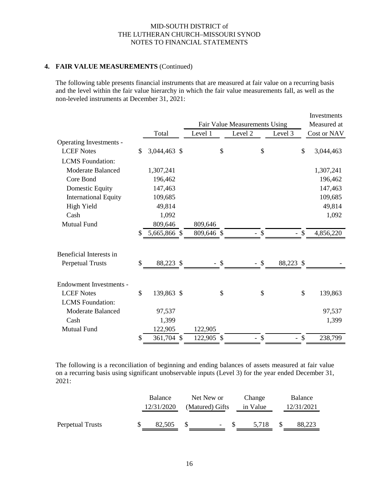#### **4. FAIR VALUE MEASUREMENTS** (Continued)

The following table presents financial instruments that are measured at fair value on a recurring basis and the level within the fair value hierarchy in which the fair value measurements fall, as well as the non-leveled instruments at December 31, 2021:

|                                |    |              |            |               |                               |           |               | Investments |
|--------------------------------|----|--------------|------------|---------------|-------------------------------|-----------|---------------|-------------|
|                                |    |              |            |               | Fair Value Measurements Using |           |               | Measured at |
|                                |    | Total        | Level 1    |               | Level <sub>2</sub>            | Level 3   |               | Cost or NAV |
| Operating Investments -        |    |              |            |               |                               |           |               |             |
| <b>LCEF Notes</b>              | \$ | 3,044,463 \$ |            | \$            |                               | \$        | \$            | 3,044,463   |
| <b>LCMS</b> Foundation:        |    |              |            |               |                               |           |               |             |
| <b>Moderate Balanced</b>       |    | 1,307,241    |            |               |                               |           |               | 1,307,241   |
| Core Bond                      |    | 196,462      |            |               |                               |           |               | 196,462     |
| Domestic Equity                |    | 147,463      |            |               |                               |           |               | 147,463     |
| <b>International Equity</b>    |    | 109,685      |            |               |                               |           |               | 109,685     |
| High Yield                     |    | 49,814       |            |               |                               |           |               | 49,814      |
| Cash                           |    | 1,092        |            |               |                               |           |               | 1,092       |
| Mutual Fund                    |    | 809,646      | 809,646    |               |                               |           |               |             |
|                                | S  | 5,665,866 \$ | 809,646 \$ |               | - \$                          |           | $\mathcal{S}$ | 4,856,220   |
|                                |    |              |            |               |                               |           |               |             |
| Beneficial Interests in        |    |              |            |               |                               |           |               |             |
| <b>Perpetual Trusts</b>        | \$ | 88,223 \$    |            | $\mathcal{S}$ | $-$ \$                        | 88,223 \$ |               |             |
|                                |    |              |            |               |                               |           |               |             |
| <b>Endowment Investments -</b> |    |              |            |               |                               |           |               |             |
| <b>LCEF Notes</b>              | \$ | 139,863 \$   |            | $\mathcal{S}$ |                               | \$        | \$            | 139,863     |
| <b>LCMS</b> Foundation:        |    |              |            |               |                               |           |               |             |
| Moderate Balanced              |    | 97,537       |            |               |                               |           |               | 97,537      |
| Cash                           |    | 1,399        |            |               |                               |           |               | 1,399       |
| <b>Mutual Fund</b>             |    | 122,905      | 122,905    |               |                               |           |               |             |
|                                | \$ | 361,704 \$   | 122,905 \$ |               | $-$ \$                        | $-$ \$    |               | 238,799     |

The following is a reconciliation of beginning and ending balances of assets measured at fair value on a recurring basis using significant unobservable inputs (Level 3) for the year ended December 31, 2021:

|                  | <b>Balance</b><br>12/31/2020 | Net New or<br>(Matured) Gifts | Change<br>in Value | Balance<br>12/31/2021 |
|------------------|------------------------------|-------------------------------|--------------------|-----------------------|
| Perpetual Trusts | 82.505                       | $-$ S                         | 5.718              | 88.223                |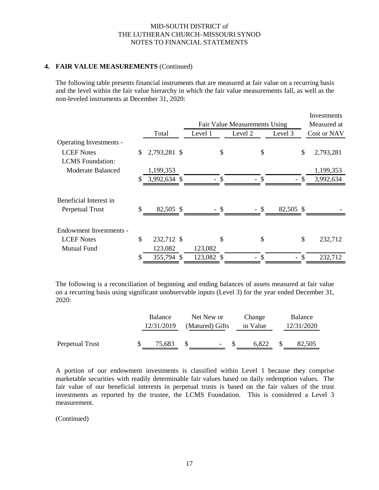#### **4. FAIR VALUE MEASUREMENTS** (Continued)

The following table presents financial instruments that are measured at fair value on a recurring basis and the level within the fair value hierarchy in which the fair value measurements fall, as well as the non-leveled instruments at December 31, 2020:

|                         |               |              |            |                                |              | Investments |
|-------------------------|---------------|--------------|------------|--------------------------------|--------------|-------------|
|                         |               |              |            | Fair Value Measurements Using  |              | Measured at |
|                         |               | Total        | Level 1    | Level 2                        | Level 3      | Cost or NAV |
| Operating Investments - |               |              |            |                                |              |             |
| <b>LCEF</b> Notes       | \$            | 2,793,281 \$ | \$         | \$                             | \$           | 2,793,281   |
| <b>LCMS</b> Foundation: |               |              |            |                                |              |             |
| Moderate Balanced       |               | 1,199,353    |            |                                |              | 1,199,353   |
|                         |               | 3,992,634 \$ | S          | - \$                           | $\mathbb{S}$ | 3,992,634   |
| Beneficial Interest in  |               |              |            |                                |              |             |
| Perpetual Trust         | \$            | 82,505 \$    | - \$       | - \$                           | 82,505 \$    |             |
| Endowment Investments - |               |              |            |                                |              |             |
| <b>LCEF</b> Notes       | $\mathcal{S}$ | 232,712 \$   | \$         | \$                             | \$           | 232,712     |
| Mutual Fund             |               | 123,082      | 123,082    |                                |              |             |
|                         | \$            | 355,794 \$   | 123,082 \$ | \$<br>$\overline{\phantom{a}}$ | \$           | 232,712     |

The following is a reconciliation of beginning and ending balances of assets measured at fair value on a recurring basis using significant unobservable inputs (Level 3) for the year ended December 31, 2020:

|                 | Balance    | Net New or               | Change   | Balance    |
|-----------------|------------|--------------------------|----------|------------|
|                 | 12/31/2019 | (Matured) Gifts          | in Value | 12/31/2020 |
|                 |            |                          |          |            |
| Perpetual Trust | 75,683     | $\overline{\phantom{a}}$ | 6.822    | 82,505     |

A portion of our endowment investments is classified within Level 1 because they comprise marketable securities with readily determinable fair values based on daily redemption values. The fair value of our beneficial interests in perpetual trusts is based on the fair values of the trust investments as reported by the trustee, the LCMS Foundation. This is considered a Level 3 measurement.

(Continued)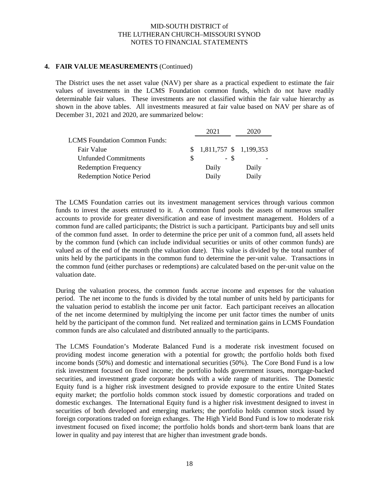#### **4. FAIR VALUE MEASUREMENTS** (Continued)

The District uses the net asset value (NAV) per share as a practical expedient to estimate the fair values of investments in the LCMS Foundation common funds, which do not have readily determinable fair values. These investments are not classified within the fair value hierarchy as shown in the above tables. All investments measured at fair value based on NAV per share as of December 31, 2021 and 2020, are summarized below:

|                                      | 2021                      |       |
|--------------------------------------|---------------------------|-------|
| <b>LCMS</b> Foundation Common Funds: |                           |       |
| Fair Value                           | $$1,811,757$ $$1,199,353$ |       |
| <b>Unfunded Commitments</b>          | - \$                      |       |
| <b>Redemption Frequency</b>          | Daily                     | Daily |
| <b>Redemption Notice Period</b>      | Daily                     | Daily |

The LCMS Foundation carries out its investment management services through various common funds to invest the assets entrusted to it. A common fund pools the assets of numerous smaller accounts to provide for greater diversification and ease of investment management. Holders of a common fund are called participants; the District is such a participant. Participants buy and sell units of the common fund asset. In order to determine the price per unit of a common fund, all assets held by the common fund (which can include individual securities or units of other common funds) are valued as of the end of the month (the valuation date). This value is divided by the total number of units held by the participants in the common fund to determine the per-unit value. Transactions in the common fund (either purchases or redemptions) are calculated based on the per-unit value on the valuation date.

During the valuation process, the common funds accrue income and expenses for the valuation period. The net income to the funds is divided by the total number of units held by participants for the valuation period to establish the income per unit factor. Each participant receives an allocation of the net income determined by multiplying the income per unit factor times the number of units held by the participant of the common fund. Net realized and termination gains in LCMS Foundation common funds are also calculated and distributed annually to the participants.

The LCMS Foundation's Moderate Balanced Fund is a moderate risk investment focused on providing modest income generation with a potential for growth; the portfolio holds both fixed income bonds (50%) and domestic and international securities (50%). The Core Bond Fund is a low risk investment focused on fixed income; the portfolio holds government issues, mortgage-backed securities, and investment grade corporate bonds with a wide range of maturities. The Domestic Equity fund is a higher risk investment designed to provide exposure to the entire United States equity market; the portfolio holds common stock issued by domestic corporations and traded on domestic exchanges. The International Equity fund is a higher risk investment designed to invest in securities of both developed and emerging markets; the portfolio holds common stock issued by foreign corporations traded on foreign exhanges. The High Yield Bond Fund is low to moderate risk investment focused on fixed income; the portfolio holds bonds and short-term bank loans that are lower in quality and pay interest that are higher than investment grade bonds.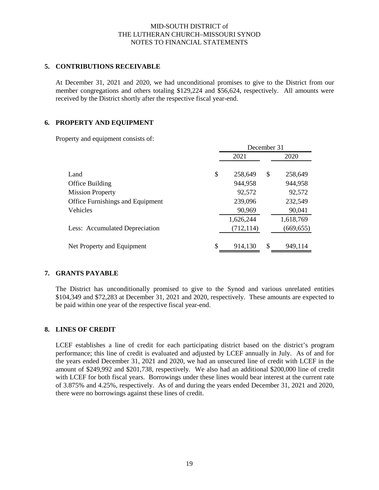#### **5. CONTRIBUTIONS RECEIVABLE**

At December 31, 2021 and 2020, we had unconditional promises to give to the District from our member congregations and others totaling \$129,224 and \$56,624, respectively. All amounts were received by the District shortly after the respective fiscal year-end.

#### **6. PROPERTY AND EQUIPMENT**

Property and equipment consists of:

|                                  |    | December 31 |               |            |  |  |  |
|----------------------------------|----|-------------|---------------|------------|--|--|--|
|                                  |    | 2021        |               | 2020       |  |  |  |
| Land                             | \$ | 258,649     | \$            | 258,649    |  |  |  |
| Office Building                  |    | 944,958     |               | 944,958    |  |  |  |
| <b>Mission Property</b>          |    | 92,572      |               | 92,572     |  |  |  |
| Office Furnishings and Equipment |    | 239,096     |               | 232,549    |  |  |  |
| Vehicles                         |    | 90,969      |               | 90,041     |  |  |  |
|                                  |    | 1,626,244   |               | 1,618,769  |  |  |  |
| Less: Accumulated Depreciation   |    | (712, 114)  |               | (669, 655) |  |  |  |
| Net Property and Equipment       | S  | 914,130     | <sup>\$</sup> | 949,114    |  |  |  |

#### **7. GRANTS PAYABLE**

The District has unconditionally promised to give to the Synod and various unrelated entities \$104,349 and \$72,283 at December 31, 2021 and 2020, respectively. These amounts are expected to be paid within one year of the respective fiscal year-end.

#### **8. LINES OF CREDIT**

LCEF establishes a line of credit for each participating district based on the district's program performance; this line of credit is evaluated and adjusted by LCEF annually in July. As of and for the years ended December 31, 2021 and 2020, we had an unsecured line of credit with LCEF in the amount of \$249,992 and \$201,738, respectively. We also had an additional \$200,000 line of credit with LCEF for both fiscal years. Borrowings under these lines would bear interest at the current rate of 3.875% and 4.25%, respectively. As of and during the years ended December 31, 2021 and 2020, there were no borrowings against these lines of credit.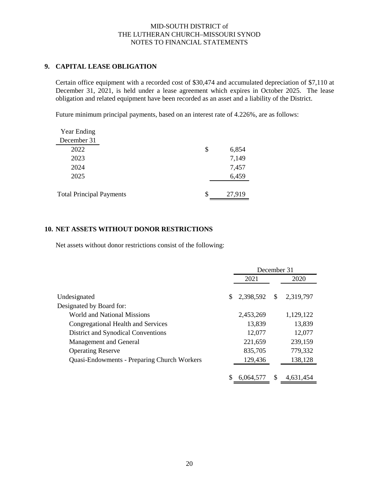### **9. CAPITAL LEASE OBLIGATION**

Certain office equipment with a recorded cost of \$30,474 and accumulated depreciation of \$7,110 at December 31, 2021, is held under a lease agreement which expires in October 2025. The lease obligation and related equipment have been recorded as an asset and a liability of the District.

Future minimum principal payments, based on an interest rate of 4.226%, are as follows:

| <b>Year Ending</b>              |    |        |
|---------------------------------|----|--------|
| December 31                     |    |        |
| 2022                            | \$ | 6,854  |
| 2023                            |    | 7,149  |
| 2024                            |    | 7,457  |
| 2025                            |    | 6,459  |
|                                 |    |        |
| <b>Total Principal Payments</b> | S  | 27,919 |

### **10. NET ASSETS WITHOUT DONOR RESTRICTIONS**

Net assets without donor restrictions consist of the following:

|                                                    |     | December 31 |              |           |  |
|----------------------------------------------------|-----|-------------|--------------|-----------|--|
|                                                    |     | 2021        |              | 2020      |  |
| Undesignated                                       | \$. | 2,398,592   | $\mathbb{S}$ | 2,319,797 |  |
| Designated by Board for:                           |     |             |              |           |  |
| World and National Missions                        |     | 2,453,269   |              | 1,129,122 |  |
| Congregational Health and Services                 |     | 13,839      |              | 13,839    |  |
| District and Synodical Conventions                 |     | 12,077      |              | 12,077    |  |
| Management and General                             |     | 221,659     |              | 239,159   |  |
| <b>Operating Reserve</b>                           |     | 835,705     |              | 779,332   |  |
| <b>Quasi-Endowments - Preparing Church Workers</b> |     | 129,436     |              | 138,128   |  |
|                                                    |     |             |              |           |  |
|                                                    |     | 6,064,577   | <sup>S</sup> | 4,631,454 |  |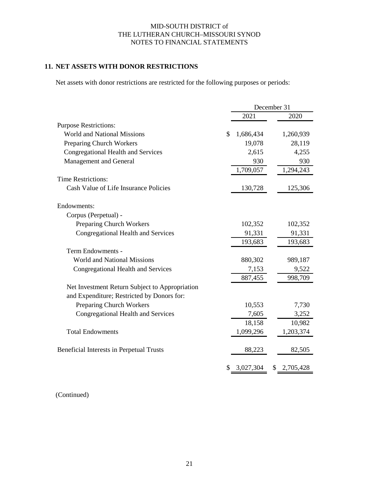# **11. NET ASSETS WITH DONOR RESTRICTIONS**

Net assets with donor restrictions are restricted for the following purposes or periods:

|                                                | December 31     |    |           |
|------------------------------------------------|-----------------|----|-----------|
|                                                | 2021            |    | 2020      |
| <b>Purpose Restrictions:</b>                   |                 |    |           |
| <b>World and National Missions</b>             | \$<br>1,686,434 |    | 1,260,939 |
| Preparing Church Workers                       | 19,078          |    | 28,119    |
| <b>Congregational Health and Services</b>      | 2,615           |    | 4,255     |
| Management and General                         | 930             |    | 930       |
|                                                | 1,709,057       |    | 1,294,243 |
| <b>Time Restrictions:</b>                      |                 |    |           |
| Cash Value of Life Insurance Policies          | 130,728         |    | 125,306   |
|                                                |                 |    |           |
| Endowments:                                    |                 |    |           |
| Corpus (Perpetual) -                           |                 |    |           |
| <b>Preparing Church Workers</b>                | 102,352         |    | 102,352   |
| Congregational Health and Services             | 91,331          |    | 91,331    |
|                                                | 193,683         |    | 193,683   |
| Term Endowments -                              |                 |    |           |
| <b>World and National Missions</b>             | 880,302         |    | 989,187   |
| Congregational Health and Services             | 7,153           |    | 9,522     |
|                                                | 887,455         |    | 998,709   |
| Net Investment Return Subject to Appropriation |                 |    |           |
| and Expenditure; Restricted by Donors for:     |                 |    |           |
| Preparing Church Workers                       | 10,553          |    | 7,730     |
| Congregational Health and Services             | 7,605           |    | 3,252     |
|                                                | 18,158          |    | 10,982    |
| <b>Total Endowments</b>                        | 1,099,296       |    | 1,203,374 |
| Beneficial Interests in Perpetual Trusts       | 88,223          |    | 82,505    |
|                                                | \$<br>3,027,304 | \$ | 2,705,428 |

(Continued)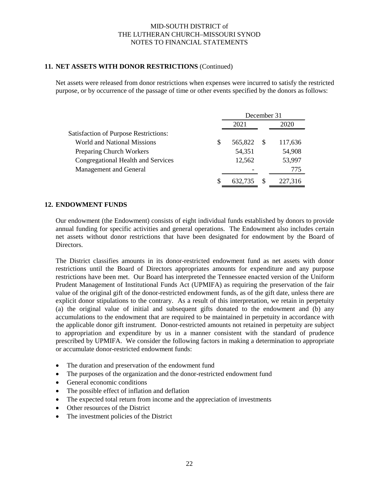#### **11. NET ASSETS WITH DONOR RESTRICTIONS** (Continued)

Net assets were released from donor restrictions when expenses were incurred to satisfy the restricted purpose, or by occurrence of the passage of time or other events specified by the donors as follows:

|                                              | December 31   |    |         |  |
|----------------------------------------------|---------------|----|---------|--|
|                                              | 2021          |    | 2020    |  |
| <b>Satisfaction of Purpose Restrictions:</b> |               |    |         |  |
| <b>World and National Missions</b>           | \$<br>565,822 | -S | 117,636 |  |
| <b>Preparing Church Workers</b>              | 54,351        |    | 54,908  |  |
| Congregational Health and Services           | 12,562        |    | 53,997  |  |
| Management and General                       |               |    | 775     |  |
|                                              | 632.735       |    | 227.316 |  |

#### **12. ENDOWMENT FUNDS**

Our endowment (the Endowment) consists of eight individual funds established by donors to provide annual funding for specific activities and general operations. The Endowment also includes certain net assets without donor restrictions that have been designated for endowment by the Board of Directors.

The District classifies amounts in its donor-restricted endowment fund as net assets with donor restrictions until the Board of Directors appropriates amounts for expenditure and any purpose restrictions have been met. Our Board has interpreted the Tennessee enacted version of the Uniform Prudent Management of Institutional Funds Act (UPMIFA) as requiring the preservation of the fair value of the original gift of the donor-restricted endowment funds, as of the gift date, unless there are explicit donor stipulations to the contrary. As a result of this interpretation, we retain in perpetuity (a) the original value of initial and subsequent gifts donated to the endowment and (b) any accumulations to the endowment that are required to be maintained in perpetuity in accordance with the applicable donor gift instrument. Donor-restricted amounts not retained in perpetuity are subject to appropriation and expenditure by us in a manner consistent with the standard of prudence prescribed by UPMIFA. We consider the following factors in making a determination to appropriate or accumulate donor-restricted endowment funds:

- The duration and preservation of the endowment fund
- The purposes of the organization and the donor-restricted endowment fund
- General economic conditions
- The possible effect of inflation and deflation
- The expected total return from income and the appreciation of investments
- Other resources of the District
- The investment policies of the District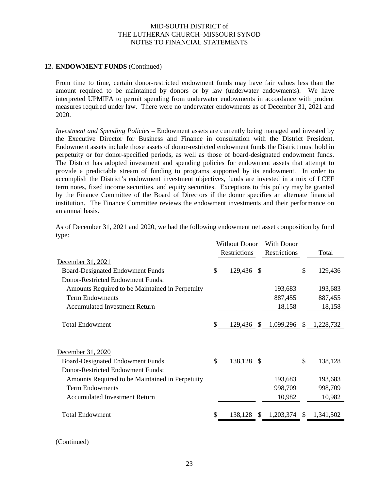#### **12. ENDOWMENT FUNDS** (Continued)

From time to time, certain donor-restricted endowment funds may have fair values less than the amount required to be maintained by donors or by law (underwater endowments). We have interpreted UPMIFA to permit spending from underwater endowments in accordance with prudent measures required under law. There were no underwater endowments as of December 31, 2021 and 2020.

*Investment and Spending Policies –* Endowment assets are currently being managed and invested by the Executive Director for Business and Finance in consultation with the District President. Endowment assets include those assets of donor-restricted endowment funds the District must hold in perpetuity or for donor-specified periods, as well as those of board-designated endowment funds. The District has adopted investment and spending policies for endowment assets that attempt to provide a predictable stream of funding to programs supported by its endowment. In order to accomplish the District's endowment investment objectives, funds are invested in a mix of LCEF term notes, fixed income securities, and equity securities. Exceptions to this policy may be granted by the Finance Committee of the Board of Directors if the donor specifies an alternate financial institution. The Finance Committee reviews the endowment investments and their performance on an annual basis.

As of December 31, 2021 and 2020, we had the following endowment net asset composition by fund type:

|                                                 | <b>Without Donor</b><br>Restrictions |         | With Donor<br>Restrictions | Total        |                 |
|-------------------------------------------------|--------------------------------------|---------|----------------------------|--------------|-----------------|
| December 31, 2021                               |                                      |         |                            |              |                 |
| <b>Board-Designated Endowment Funds</b>         | \$                                   | 129,436 | -S                         |              | \$<br>129,436   |
| Donor-Restricted Endowment Funds:               |                                      |         |                            |              |                 |
|                                                 |                                      |         |                            | 193,683      | 193,683         |
| Amounts Required to be Maintained in Perpetuity |                                      |         |                            |              |                 |
| <b>Term Endowments</b>                          |                                      |         |                            | 887,455      | 887,455         |
| <b>Accumulated Investment Return</b>            |                                      |         |                            | 18,158       | 18,158          |
|                                                 |                                      |         |                            |              |                 |
| <b>Total Endowment</b>                          | \$                                   | 129,436 | <sup>S</sup>               | 1,099,296 \$ | 1,228,732       |
|                                                 |                                      |         |                            |              |                 |
|                                                 |                                      |         |                            |              |                 |
| December 31, 2020                               |                                      |         |                            |              |                 |
| <b>Board-Designated Endowment Funds</b>         | \$                                   | 138,128 | -S                         |              | \$<br>138,128   |
| Donor-Restricted Endowment Funds:               |                                      |         |                            |              |                 |
| Amounts Required to be Maintained in Perpetuity |                                      |         |                            | 193,683      | 193,683         |
| <b>Term Endowments</b>                          |                                      |         |                            | 998,709      | 998,709         |
| <b>Accumulated Investment Return</b>            |                                      |         |                            | 10,982       | 10,982          |
|                                                 |                                      |         |                            |              |                 |
| <b>Total Endowment</b>                          |                                      | 138,128 | <sup>\$</sup>              | 1,203,374    | \$<br>1,341,502 |
|                                                 |                                      |         |                            |              |                 |

<sup>(</sup>Continued)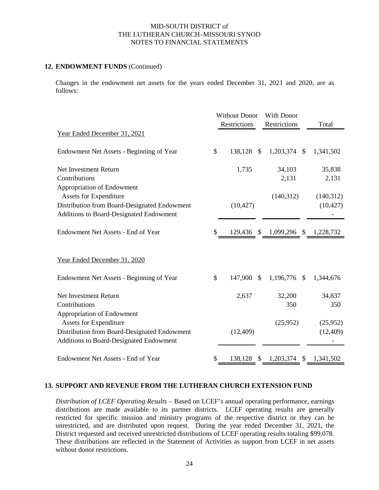#### **12. ENDOWMENT FUNDS** (Continued)

Changes in the endowment net assets for the years ended December 31, 2021 and 2020, are as follows:

|                                              |               | <b>Without Donor</b> |      | With Donor                        |               |           |
|----------------------------------------------|---------------|----------------------|------|-----------------------------------|---------------|-----------|
|                                              |               | Restrictions         |      | Restrictions                      |               | Total     |
| Year Ended December 31, 2021                 |               |                      |      |                                   |               |           |
| Endowment Net Assets - Beginning of Year     | $\mathbb{S}$  | 138,128 \$           |      | 1,203,374                         | -S            | 1,341,502 |
| Net Investment Return                        |               | 1,735                |      | 34,103                            |               | 35,838    |
| Contributions                                |               |                      |      | 2,131                             |               | 2,131     |
| Appropriation of Endowment                   |               |                      |      |                                   |               |           |
| <b>Assets for Expenditure</b>                |               |                      |      | (140,312)                         |               | (140,312) |
| Distribution from Board-Designated Endowment |               | (10, 427)            |      |                                   |               | (10, 427) |
| Additions to Board-Designated Endowment      |               |                      |      |                                   |               |           |
|                                              |               |                      |      |                                   |               |           |
| <b>Endowment Net Assets - End of Year</b>    | \$            |                      |      | 129,436 \$ 1,099,296 \$ 1,228,732 |               |           |
| Year Ended December 31, 2020                 |               |                      |      |                                   |               |           |
| Endowment Net Assets - Beginning of Year     | $\mathcal{S}$ | 147,900              | - \$ | 1,196,776 \$                      |               | 1,344,676 |
| Net Investment Return                        |               | 2,637                |      | 32,200                            |               | 34,837    |
| Contributions                                |               |                      |      | 350                               |               | 350       |
| Appropriation of Endowment                   |               |                      |      |                                   |               |           |
| <b>Assets for Expenditure</b>                |               |                      |      | (25,952)                          |               | (25,952)  |
| Distribution from Board-Designated Endowment |               | (12, 409)            |      |                                   |               | (12, 409) |
| Additions to Board-Designated Endowment      |               |                      |      |                                   |               |           |
| Endowment Net Assets - End of Year           | S             | 138,128              | \$   | 1,203,374                         | $\mathcal{S}$ | 1,341,502 |

#### **13. SUPPORT AND REVENUE FROM THE LUTHERAN CHURCH EXTENSION FUND**

*Distribution of LCEF Operating Results* – Based on LCEF's annual operating performance, earnings distributions are made available to its partner districts. LCEF operating results are generally restricted for specific mission and ministry programs of the respective district or they can be unrestricted, and are distributed upon request. During the year ended December 31, 2021, the District requested and received unrestricted distributions of LCEF operating results totaling \$99,078. These distributions are reflected in the Statement of Activities as support from LCEF in net assets without donor restrictions.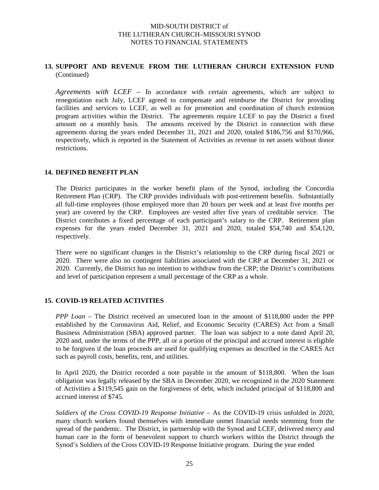#### **13. SUPPORT AND REVENUE FROM THE LUTHERAN CHURCH EXTENSION FUND** (Continued)

*Agreements with LCEF* – In accordance with certain agreements, which are subject to renegotiation each July, LCEF agreed to compensate and reimburse the District for providing facilities and services to LCEF, as well as for promotion and coordination of church extension program activities within the District. The agreements require LCEF to pay the District a fixed amount on a monthly basis. The amounts received by the District in connection with these agreements during the years ended December 31, 2021 and 2020, totaled \$186,756 and \$170,966, respectively, which is reported in the Statement of Activities as revenue in net assets without donor restrictions.

#### **14. DEFINED BENEFIT PLAN**

The District participates in the worker benefit plans of the Synod, including the Concordia Retirement Plan (CRP). The CRP provides individuals with post-retirement benefits. Substantially all full-time employees (those employed more than 20 hours per week and at least five months per year) are covered by the CRP. Employees are vested after five years of creditable service. The District contributes a fixed percentage of each participant's salary to the CRP. Retirement plan expenses for the years ended December 31, 2021 and 2020, totaled \$54,740 and \$54,120, respectively.

There were no significant changes in the District's relationship to the CRP during fiscal 2021 or 2020. There were also no contingent liabilities associated with the CRP at December 31, 2021 or 2020. Currently, the District has no intention to withdraw from the CRP; the District's contributions and level of participation represent a small percentage of the CRP as a whole.

### **15. COVID-19 RELATED ACTIVITIES**

*PPP Loan* – The District received an unsecured loan in the amount of \$118,800 under the PPP established by the Coronavirus Aid, Relief, and Economic Security (CARES) Act from a Small Business Administration (SBA) approved partner. The loan was subject to a note dated April 20, 2020 and, under the terms of the PPP, all or a portion of the principal and accrued interest is eligible to be forgiven if the loan proceeds are used for qualifying expenses as described in the CARES Act such as payroll costs, benefits, rent, and utilities.

In April 2020, the District recorded a note payable in the amount of \$118,800. When the loan obligation was legally released by the SBA in December 2020, we recognized in the 2020 Statement of Activities a \$119,545 gain on the forgiveness of debt, which included principal of \$118,800 and accrued interest of \$745.

Soldiers of the Cross COVID-19 Response Initiative – As the COVID-19 crisis unfolded in 2020, many church workers found themselves with immediate unmet financial needs stemming from the spread of the pandemic. The District, in partnership with the Synod and LCEF, delivered mercy and human care in the form of benevolent support to church workers within the District through the Synod's Soldiers of the Cross COVID-19 Response Initiative program. During the year ended